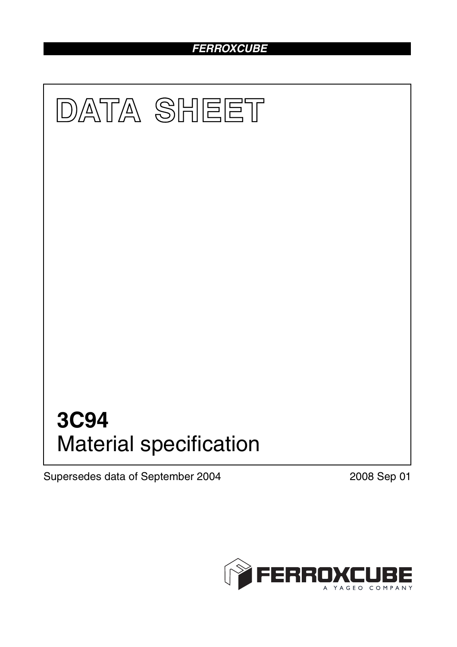# *FERROXCUBE*



Supersedes data of September 2004 2008 Sep 01

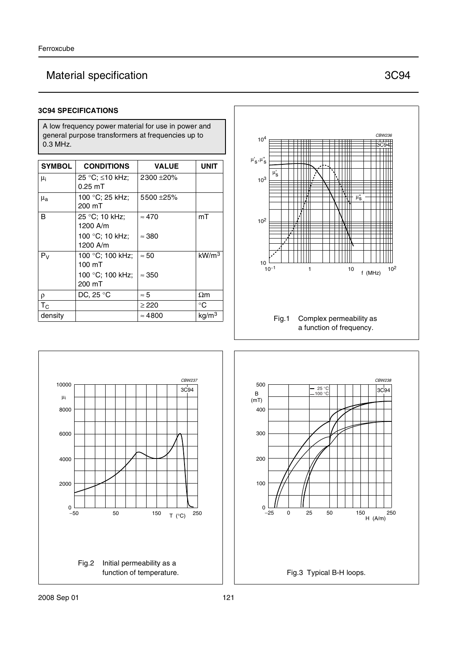# Material specification 3C94

#### **3C94 SPECIFICATIONS**

A low frequency power material for use in power and general purpose transformers at frequencies up to 0.3 MHz.

| <b>SYMBOL</b>      | <b>CONDITIONS</b>            | <b>VALUE</b>   | UNIT              |
|--------------------|------------------------------|----------------|-------------------|
| $\mu_i$            | 25 °C; ≤10 kHz;<br>$0.25$ mT | 2300 ± 20%     |                   |
| $\mu_{\mathbf{a}}$ | 100 °C; 25 kHz;<br>200 mT    | 5500 ±25%      |                   |
| B                  | 25 °C; 10 kHz;<br>1200 A/m   | $\approx 470$  | mT                |
|                    | 100 °C; 10 kHz;<br>1200 A/m  | $\approx$ 380  |                   |
| $P_V$              | 100 °C; 100 kHz;<br>100 mT   | $\approx 50$   | kW/m <sup>3</sup> |
|                    | 100 °C; 100 kHz;<br>200 mT   | $\approx 350$  |                   |
| ρ                  | DC, 25 °C                    | $\approx 5$    | $\Omega$ m        |
| $T_{\rm C}$        |                              | $\geq$ 220     | $^{\circ}C$       |
| density            |                              | $\approx 4800$ | kg/m <sup>3</sup> |





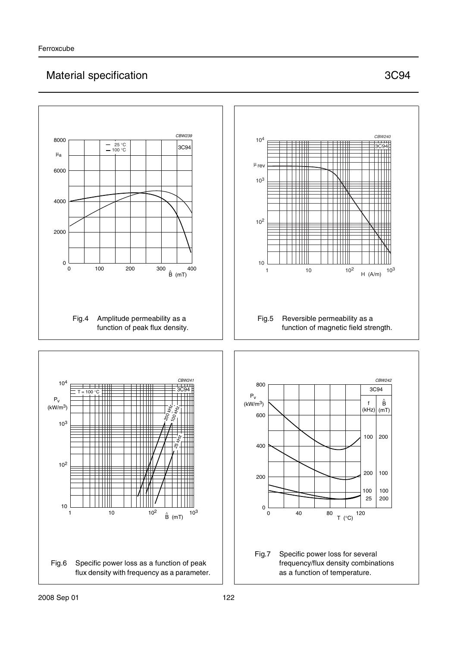## Material specification 3C94